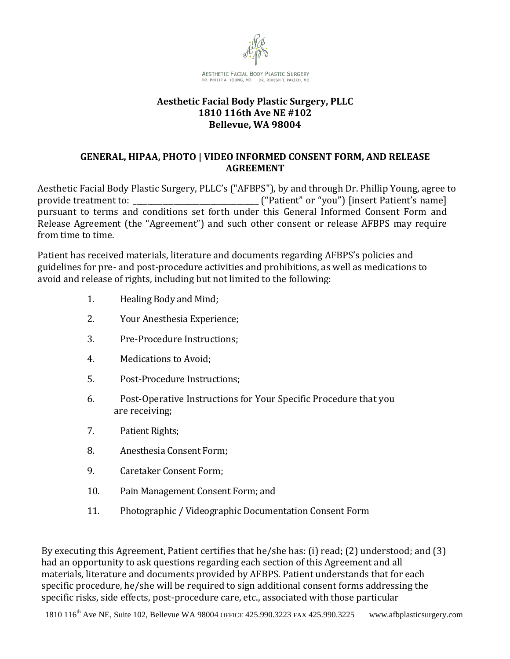

#### **Aesthetic Facial Body Plastic Surgery, PLLC 1810 116th Ave NE #102 Bellevue, WA 98004**

#### **GENERAL, HIPAA, PHOTO | VIDEO INFORMED CONSENT FORM, AND RELEASE AGREEMENT**

Aesthetic Facial Body Plastic Surgery, PLLC's ("AFBPS"), by and through Dr. Phillip Young, agree to provide treatment to: \_\_\_\_\_\_\_\_\_\_\_\_\_\_\_\_\_\_\_\_\_\_\_\_\_\_\_\_\_\_\_\_\_\_ ("Patient" or "you") [insert Patient's name] pursuant to terms and conditions set forth under this General Informed Consent Form and Release Agreement (the "Agreement") and such other consent or release AFBPS may require from time to time.

Patient has received materials, literature and documents regarding AFBPS's policies and guidelines for pre- and post-procedure activities and prohibitions, as well as medications to avoid and release of rights, including but not limited to the following:

- 1. Healing Body and Mind;
- 2. Your Anesthesia Experience;
- 3. Pre-Procedure Instructions;
- 4. Medications to Avoid;
- 5. Post-Procedure Instructions;
- 6. Post-Operative Instructions for Your Specific Procedure that you are receiving;
- 7. Patient Rights;
- 8. Anesthesia Consent Form;
- 9. Caretaker Consent Form;
- 10. Pain Management Consent Form; and
- 11. Photographic / Videographic Documentation Consent Form

By executing this Agreement, Patient certifies that he/she has: (i) read; (2) understood; and (3) had an opportunity to ask questions regarding each section of this Agreement and all materials, literature and documents provided by AFBPS. Patient understands that for each specific procedure, he/she will be required to sign additional consent forms addressing the specific risks, side effects, post-procedure care, etc., associated with those particular

1810 116<sup>th</sup> Ave NE, Suite 102, Bellevue WA 98004 OFFICE 425.990.3223 FAX 425.990.3225 www.afbplasticsurgery.com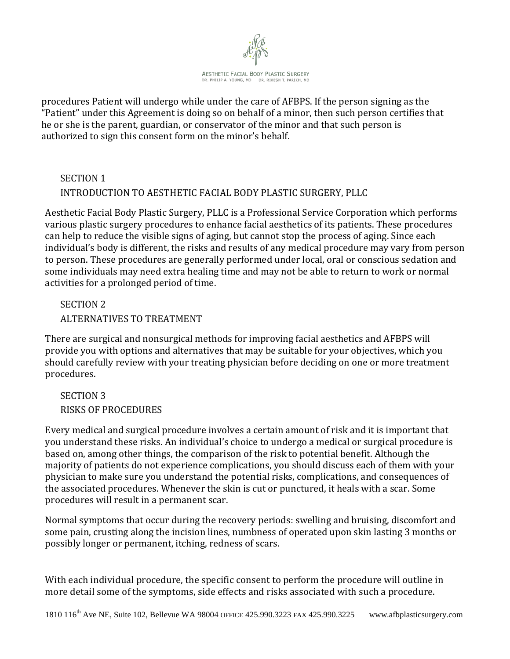

procedures Patient will undergo while under the care of AFBPS. If the person signing as the "Patient" under this Agreement is doing so on behalf of a minor, then such person certifies that he or she is the parent, guardian, or conservator of the minor and that such person is authorized to sign this consent form on the minor's behalf.

## SECTION 1 INTRODUCTION TO AESTHETIC FACIAL BODY PLASTIC SURGERY, PLLC

Aesthetic Facial Body Plastic Surgery, PLLC is a Professional Service Corporation which performs various plastic surgery procedures to enhance facial aesthetics of its patients. These procedures can help to reduce the visible signs of aging, but cannot stop the process of aging. Since each individual's body is different, the risks and results of any medical procedure may vary from person to person. These procedures are generally performed under local, oral or conscious sedation and some individuals may need extra healing time and may not be able to return to work or normal activities for a prolonged period of time.

# SECTION 2 ALTERNATIVES TO TREATMENT

There are surgical and nonsurgical methods for improving facial aesthetics and AFBPS will provide you with options and alternatives that may be suitable for your objectives, which you should carefully review with your treating physician before deciding on one or more treatment procedures.

SECTION 3 RISKS OF PROCEDURES

Every medical and surgical procedure involves a certain amount of risk and it is important that you understand these risks. An individual's choice to undergo a medical or surgical procedure is based on, among other things, the comparison of the risk to potential benefit. Although the majority of patients do not experience complications, you should discuss each of them with your physician to make sure you understand the potential risks, complications, and consequences of the associated procedures. Whenever the skin is cut or punctured, it heals with a scar. Some procedures will result in a permanent scar.

Normal symptoms that occur during the recovery periods: swelling and bruising, discomfort and some pain, crusting along the incision lines, numbness of operated upon skin lasting 3 months or possibly longer or permanent, itching, redness of scars.

With each individual procedure, the specific consent to perform the procedure will outline in more detail some of the symptoms, side effects and risks associated with such a procedure.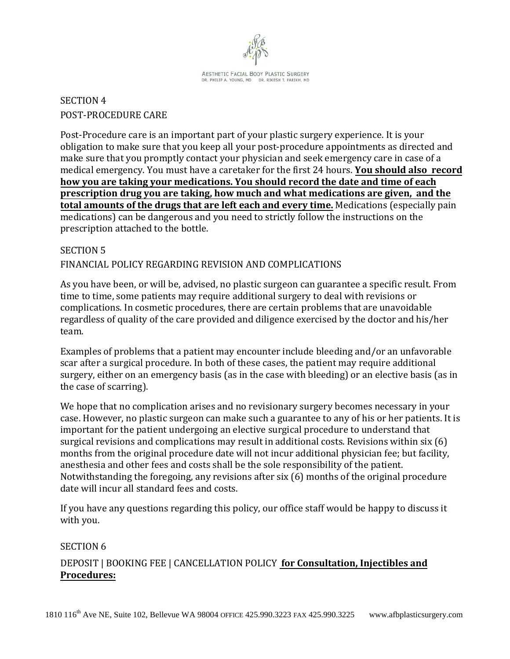

**AESTHETIC FACIAL BODY PLASTIC SURGERY** DR. PHILIP A. YOUNG, MD DR. RIKESH T. PARIKH, MD

# SECTION 4 POST-PROCEDURE CARE

Post-Procedure care is an important part of your plastic surgery experience. It is your obligation to make sure that you keep all your post-procedure appointments as directed and make sure that you promptly contact your physician and seek emergency care in case of a medical emergency. You must have a caretaker for the first 24 hours. **You should also record how you are taking your medications. You should record the date and time of each prescription drug you are taking, how much and what medications are given, and the total amounts of the drugs that are left each and every time.** Medications (especially pain medications) can be dangerous and you need to strictly follow the instructions on the prescription attached to the bottle.

#### SECTION 5

#### FINANCIAL POLICY REGARDING REVISION AND COMPLICATIONS

As you have been, or will be, advised, no plastic surgeon can guarantee a specific result. From time to time, some patients may require additional surgery to deal with revisions or complications. In cosmetic procedures, there are certain problems that are unavoidable regardless of quality of the care provided and diligence exercised by the doctor and his/her team.

Examples of problems that a patient may encounter include bleeding and/or an unfavorable scar after a surgical procedure. In both of these cases, the patient may require additional surgery, either on an emergency basis (as in the case with bleeding) or an elective basis (as in the case of scarring).

We hope that no complication arises and no revisionary surgery becomes necessary in your case. However, no plastic surgeon can make such a guarantee to any of his or her patients. It is important for the patient undergoing an elective surgical procedure to understand that surgical revisions and complications may result in additional costs. Revisions within six (6) months from the original procedure date will not incur additional physician fee; but facility, anesthesia and other fees and costs shall be the sole responsibility of the patient. Notwithstanding the foregoing, any revisions after six (6) months of the original procedure date will incur all standard fees and costs.

If you have any questions regarding this policy, our office staff would be happy to discuss it with you.

#### SECTION 6

### DEPOSIT | BOOKING FEE | CANCELLATION POLICY **for Consultation, Injectibles and Procedures:**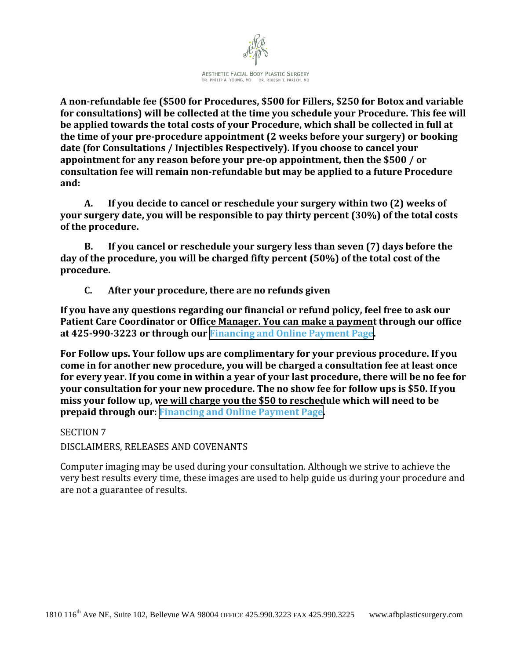

**A non-refundable fee (\$500 for Procedures, \$500 for Fillers, \$250 for Botox and variable for consultations) will be collected at the time you schedule your Procedure. This fee will be applied towards the total costs of your Procedure, which shall be collected in full at the time of your pre-procedure appointment (2 weeks before your surgery) or booking date (for Consultations / Injectibles Respectively). If you choose to cancel your appointment for any reason before your pre-op appointment, then the \$500 / or consultation fee will remain non-refundable but may be applied to a future Procedure and:** 

**A. If you decide to cancel or reschedule your surgery within two (2) weeks of your surgery date, you will be responsible to pay thirty percent (30%) of the total costs of the procedure.** 

**B. If you cancel or reschedule your surgery less than seven (7) days before the day of the procedure, you will be charged fifty percent (50%) of the total cost of the procedure.** 

**C. After your procedure, there are no refunds given**

**If you have any questions regarding our financial or refund policy, feel free to ask our Patient Care Coordinator or Office Manager. You can make a payment through our office at 425-990-3223 or through our [Financing and Online Payment Page.](http://www.drphilipyoung.com/financing-online-payment/)**

**For Follow ups. Your follow ups are complimentary for your previous procedure. If you come in for another new procedure, you will be charged a consultation fee at least once for every year. If you come in within a year of your last procedure, there will be no fee for your consultation for your new procedure. The no show fee for follow ups is \$50. If you miss your follow up, we will charge you the \$50 to reschedule which will need to be prepaid through our: [Financing and Online Payment Page.](http://www.drphilipyoung.com/financing-online-payment/)**

SECTION 7 DISCLAIMERS, RELEASES AND COVENANTS

Computer imaging may be used during your consultation. Although we strive to achieve the very best results every time, these images are used to help guide us during your procedure and are not a guarantee of results.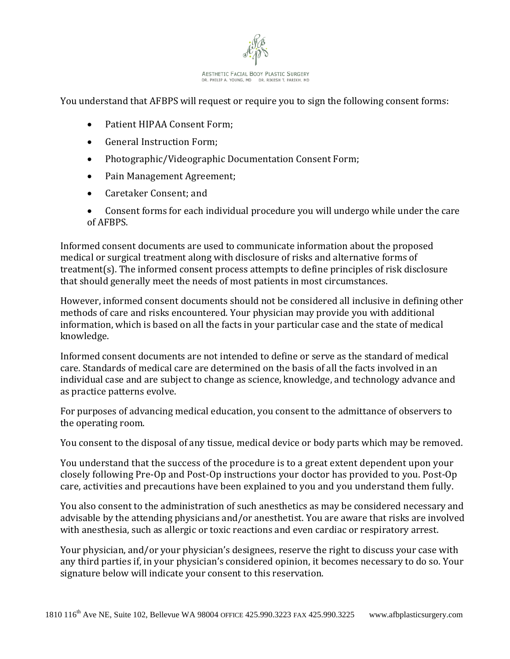

You understand that AFBPS will request or require you to sign the following consent forms:

- Patient HIPAA Consent Form;
- General Instruction Form;
- Photographic/Videographic Documentation Consent Form;
- Pain Management Agreement;
- Caretaker Consent; and
- Consent forms for each individual procedure you will undergo while under the care of AFBPS.

Informed consent documents are used to communicate information about the proposed medical or surgical treatment along with disclosure of risks and alternative forms of treatment(s). The informed consent process attempts to define principles of risk disclosure that should generally meet the needs of most patients in most circumstances.

However, informed consent documents should not be considered all inclusive in defining other methods of care and risks encountered. Your physician may provide you with additional information, which is based on all the facts in your particular case and the state of medical knowledge.

Informed consent documents are not intended to define or serve as the standard of medical care. Standards of medical care are determined on the basis of all the facts involved in an individual case and are subject to change as science, knowledge, and technology advance and as practice patterns evolve.

For purposes of advancing medical education, you consent to the admittance of observers to the operating room.

You consent to the disposal of any tissue, medical device or body parts which may be removed.

You understand that the success of the procedure is to a great extent dependent upon your closely following Pre-Op and Post-Op instructions your doctor has provided to you. Post-Op care, activities and precautions have been explained to you and you understand them fully.

You also consent to the administration of such anesthetics as may be considered necessary and advisable by the attending physicians and/or anesthetist. You are aware that risks are involved with anesthesia, such as allergic or toxic reactions and even cardiac or respiratory arrest.

Your physician, and/or your physician's designees, reserve the right to discuss your case with any third parties if, in your physician's considered opinion, it becomes necessary to do so. Your signature below will indicate your consent to this reservation.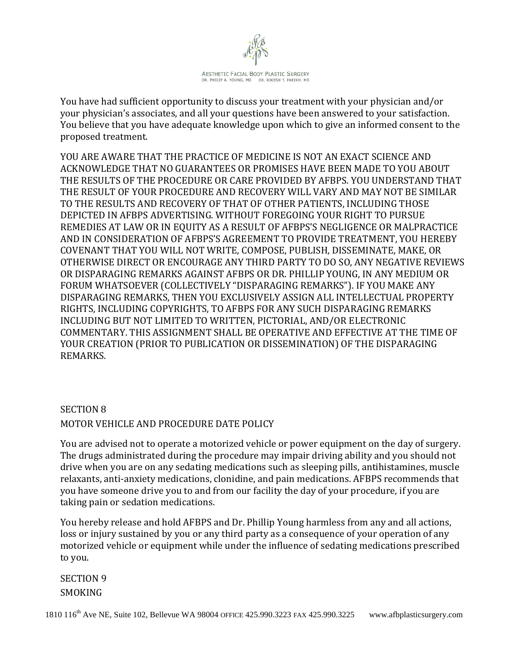

You have had sufficient opportunity to discuss your treatment with your physician and/or your physician's associates, and all your questions have been answered to your satisfaction. You believe that you have adequate knowledge upon which to give an informed consent to the proposed treatment.

YOU ARE AWARE THAT THE PRACTICE OF MEDICINE IS NOT AN EXACT SCIENCE AND ACKNOWLEDGE THAT NO GUARANTEES OR PROMISES HAVE BEEN MADE TO YOU ABOUT THE RESULTS OF THE PROCEDURE OR CARE PROVIDED BY AFBPS. YOU UNDERSTAND THAT THE RESULT OF YOUR PROCEDURE AND RECOVERY WILL VARY AND MAY NOT BE SIMILAR TO THE RESULTS AND RECOVERY OF THAT OF OTHER PATIENTS, INCLUDING THOSE DEPICTED IN AFBPS ADVERTISING. WITHOUT FOREGOING YOUR RIGHT TO PURSUE REMEDIES AT LAW OR IN EQUITY AS A RESULT OF AFBPS'S NEGLIGENCE OR MALPRACTICE AND IN CONSIDERATION OF AFBPS'S AGREEMENT TO PROVIDE TREATMENT, YOU HEREBY COVENANT THAT YOU WILL NOT WRITE, COMPOSE, PUBLISH, DISSEMINATE, MAKE, OR OTHERWISE DIRECT OR ENCOURAGE ANY THIRD PARTY TO DO SO, ANY NEGATIVE REVIEWS OR DISPARAGING REMARKS AGAINST AFBPS OR DR. PHILLIP YOUNG, IN ANY MEDIUM OR FORUM WHATSOEVER (COLLECTIVELY "DISPARAGING REMARKS"). IF YOU MAKE ANY DISPARAGING REMARKS, THEN YOU EXCLUSIVELY ASSIGN ALL INTELLECTUAL PROPERTY RIGHTS, INCLUDING COPYRIGHTS, TO AFBPS FOR ANY SUCH DISPARAGING REMARKS INCLUDING BUT NOT LIMITED TO WRITTEN, PICTORIAL, AND/OR ELECTRONIC COMMENTARY. THIS ASSIGNMENT SHALL BE OPERATIVE AND EFFECTIVE AT THE TIME OF YOUR CREATION (PRIOR TO PUBLICATION OR DISSEMINATION) OF THE DISPARAGING REMARKS.

# SECTION 8 MOTOR VEHICLE AND PROCEDURE DATE POLICY

You are advised not to operate a motorized vehicle or power equipment on the day of surgery. The drugs administrated during the procedure may impair driving ability and you should not drive when you are on any sedating medications such as sleeping pills, antihistamines, muscle relaxants, anti-anxiety medications, clonidine, and pain medications. AFBPS recommends that you have someone drive you to and from our facility the day of your procedure, if you are taking pain or sedation medications.

You hereby release and hold AFBPS and Dr. Phillip Young harmless from any and all actions, loss or injury sustained by you or any third party as a consequence of your operation of any motorized vehicle or equipment while under the influence of sedating medications prescribed to you.

SECTION 9 SMOKING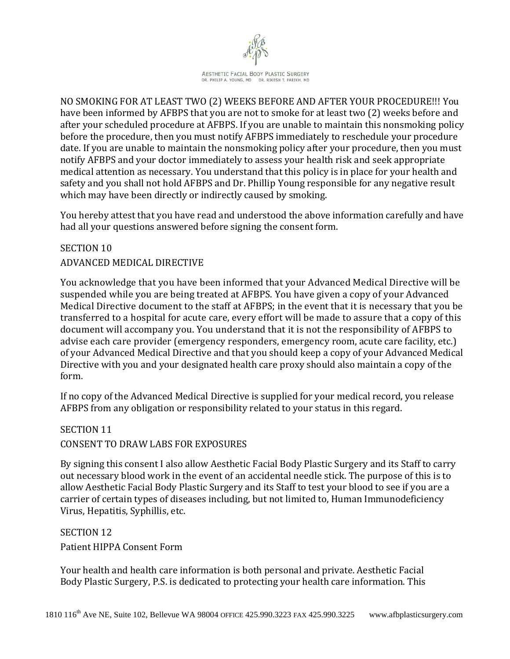

NO SMOKING FOR AT LEAST TWO (2) WEEKS BEFORE AND AFTER YOUR PROCEDURE!!! You have been informed by AFBPS that you are not to smoke for at least two (2) weeks before and after your scheduled procedure at AFBPS. If you are unable to maintain this nonsmoking policy before the procedure, then you must notify AFBPS immediately to reschedule your procedure date. If you are unable to maintain the nonsmoking policy after your procedure, then you must notify AFBPS and your doctor immediately to assess your health risk and seek appropriate medical attention as necessary. You understand that this policy is in place for your health and safety and you shall not hold AFBPS and Dr. Phillip Young responsible for any negative result which may have been directly or indirectly caused by smoking.

You hereby attest that you have read and understood the above information carefully and have had all your questions answered before signing the consent form.

### SECTION 10 ADVANCED MEDICAL DIRECTIVE

You acknowledge that you have been informed that your Advanced Medical Directive will be suspended while you are being treated at AFBPS. You have given a copy of your Advanced Medical Directive document to the staff at AFBPS; in the event that it is necessary that you be transferred to a hospital for acute care, every effort will be made to assure that a copy of this document will accompany you. You understand that it is not the responsibility of AFBPS to advise each care provider (emergency responders, emergency room, acute care facility, etc.) of your Advanced Medical Directive and that you should keep a copy of your Advanced Medical Directive with you and your designated health care proxy should also maintain a copy of the form.

If no copy of the Advanced Medical Directive is supplied for your medical record, you release AFBPS from any obligation or responsibility related to your status in this regard.

### SECTION 11 CONSENT TO DRAW LABS FOR EXPOSURES

By signing this consent I also allow Aesthetic Facial Body Plastic Surgery and its Staff to carry out necessary blood work in the event of an accidental needle stick. The purpose of this is to allow Aesthetic Facial Body Plastic Surgery and its Staff to test your blood to see if you are a carrier of certain types of diseases including, but not limited to, Human Immunodeficiency Virus, Hepatitis, Syphillis, etc.

### SECTION 12

Patient HIPPA Consent Form

Your health and health care information is both personal and private. Aesthetic Facial Body Plastic Surgery, P.S. is dedicated to protecting your health care information. This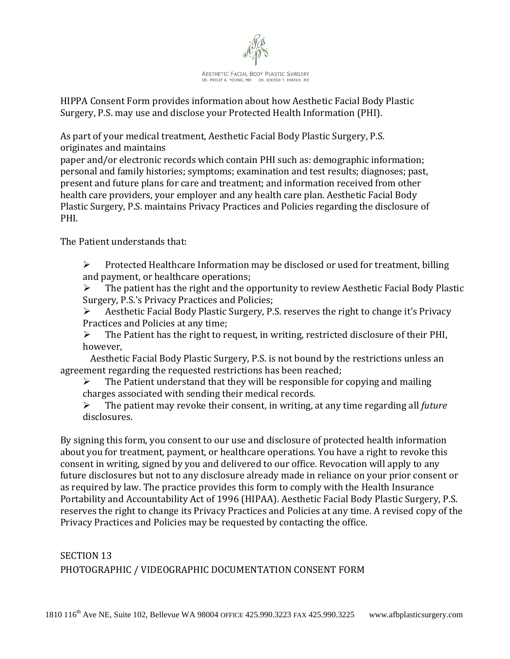

HIPPA Consent Form provides information about how Aesthetic Facial Body Plastic Surgery, P.S. may use and disclose your Protected Health Information (PHI).

As part of your medical treatment, Aesthetic Facial Body Plastic Surgery, P.S. originates and maintains

paper and/or electronic records which contain PHI such as: demographic information; personal and family histories; symptoms; examination and test results; diagnoses; past, present and future plans for care and treatment; and information received from other health care providers, your employer and any health care plan. Aesthetic Facial Body Plastic Surgery, P.S. maintains Privacy Practices and Policies regarding the disclosure of PHI.

The Patient understands that:

 $\triangleright$  Protected Healthcare Information may be disclosed or used for treatment, billing and payment, or healthcare operations;

 The patient has the right and the opportunity to review Aesthetic Facial Body Plastic Surgery, P.S.'s Privacy Practices and Policies;

 Aesthetic Facial Body Plastic Surgery, P.S. reserves the right to change it's Privacy Practices and Policies at any time;<br>  $\triangleright$  The Patient has the right to re

 The Patient has the right to request, in writing, restricted disclosure of their PHI, however,

Aesthetic Facial Body Plastic Surgery, P.S. is not bound by the restrictions unless an agreement regarding the requested restrictions has been reached;<br>  $\triangleright$  The Patient understand that they will be responsible for

 The Patient understand that they will be responsible for copying and mailing charges associated with sending their medical records.<br>  $\triangleright$  The patient may revoke their consent, in writing

 The patient may revoke their consent, in writing, at any time regarding all *future* disclosures.

By signing this form, you consent to our use and disclosure of protected health information about you for treatment, payment, or healthcare operations. You have a right to revoke this consent in writing, signed by you and delivered to our office. Revocation will apply to any future disclosures but not to any disclosure already made in reliance on your prior consent or as required by law. The practice provides this form to comply with the Health Insurance Portability and Accountability Act of 1996 (HIPAA). Aesthetic Facial Body Plastic Surgery, P.S. reserves the right to change its Privacy Practices and Policies at any time. A revised copy of the Privacy Practices and Policies may be requested by contacting the office.

# SECTION 13 PHOTOGRAPHIC / VIDEOGRAPHIC DOCUMENTATION CONSENT FORM